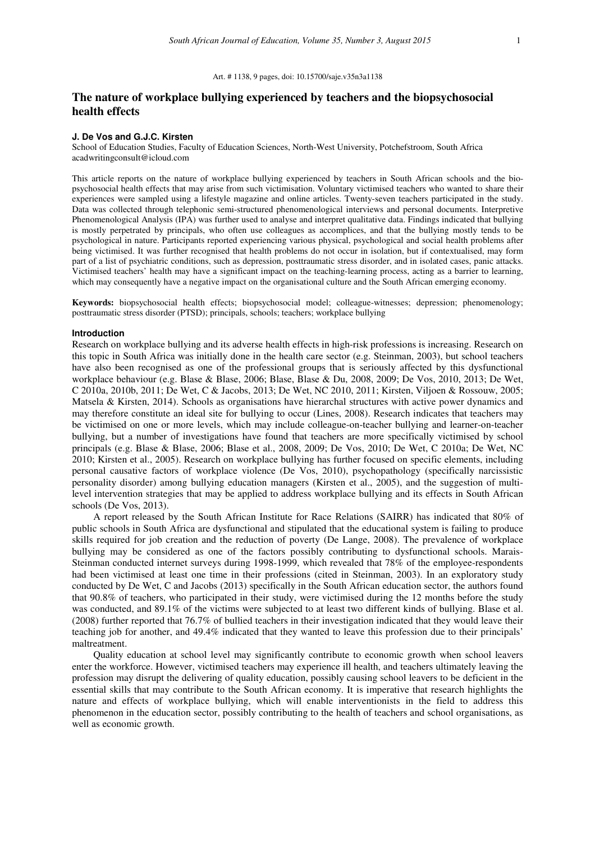## Art. # 1138, 9 pages, doi: 10.15700/saje.v35n3a1138

# **The nature of workplace bullying experienced by teachers and the biopsychosocial health effects**

### **J. De Vos and G.J.C. Kirsten**

School of Education Studies, Faculty of Education Sciences, North-West University, Potchefstroom, South Africa acadwritingconsult@icloud.com

This article reports on the nature of workplace bullying experienced by teachers in South African schools and the biopsychosocial health effects that may arise from such victimisation. Voluntary victimised teachers who wanted to share their experiences were sampled using a lifestyle magazine and online articles. Twenty-seven teachers participated in the study. Data was collected through telephonic semi-structured phenomenological interviews and personal documents. Interpretive Phenomenological Analysis (IPA) was further used to analyse and interpret qualitative data. Findings indicated that bullying is mostly perpetrated by principals, who often use colleagues as accomplices, and that the bullying mostly tends to be psychological in nature. Participants reported experiencing various physical, psychological and social health problems after being victimised. It was further recognised that health problems do not occur in isolation, but if contextualised, may form part of a list of psychiatric conditions, such as depression, posttraumatic stress disorder, and in isolated cases, panic attacks. Victimised teachers' health may have a significant impact on the teaching-learning process, acting as a barrier to learning, which may consequently have a negative impact on the organisational culture and the South African emerging economy.

**Keywords:** biopsychosocial health effects; biopsychosocial model; colleague-witnesses; depression; phenomenology; posttraumatic stress disorder (PTSD); principals, schools; teachers; workplace bullying

### **Introduction**

Research on workplace bullying and its adverse health effects in high-risk professions is increasing. Research on this topic in South Africa was initially done in the health care sector (e.g. Steinman, 2003), but school teachers have also been recognised as one of the professional groups that is seriously affected by this dysfunctional workplace behaviour (e.g. Blase & Blase, 2006; Blase, Blase & Du, 2008, 2009; De Vos, 2010, 2013; De Wet, C 2010a, 2010b, 2011; De Wet, C & Jacobs, 2013; De Wet, NC 2010, 2011; Kirsten, Viljoen & Rossouw, 2005; Matsela & Kirsten, 2014). Schools as organisations have hierarchal structures with active power dynamics and may therefore constitute an ideal site for bullying to occur (Lines, 2008). Research indicates that teachers may be victimised on one or more levels, which may include colleague-on-teacher bullying and learner-on-teacher bullying, but a number of investigations have found that teachers are more specifically victimised by school principals (e.g. Blase & Blase, 2006; Blase et al., 2008, 2009; De Vos, 2010; De Wet, C 2010a; De Wet, NC 2010; Kirsten et al., 2005). Research on workplace bullying has further focused on specific elements, including personal causative factors of workplace violence (De Vos, 2010), psychopathology (specifically narcissistic personality disorder) among bullying education managers (Kirsten et al., 2005), and the suggestion of multilevel intervention strategies that may be applied to address workplace bullying and its effects in South African schools (De Vos, 2013).

A report released by the South African Institute for Race Relations (SAIRR) has indicated that 80% of public schools in South Africa are dysfunctional and stipulated that the educational system is failing to produce skills required for job creation and the reduction of poverty (De Lange, 2008). The prevalence of workplace bullying may be considered as one of the factors possibly contributing to dysfunctional schools. Marais-Steinman conducted internet surveys during 1998-1999, which revealed that 78% of the employee-respondents had been victimised at least one time in their professions (cited in Steinman, 2003). In an exploratory study conducted by De Wet, C and Jacobs (2013) specifically in the South African education sector, the authors found that 90.8% of teachers, who participated in their study, were victimised during the 12 months before the study was conducted, and 89.1% of the victims were subjected to at least two different kinds of bullying. Blase et al. (2008) further reported that 76.7% of bullied teachers in their investigation indicated that they would leave their teaching job for another, and 49.4% indicated that they wanted to leave this profession due to their principals' maltreatment.

Quality education at school level may significantly contribute to economic growth when school leavers enter the workforce. However, victimised teachers may experience ill health, and teachers ultimately leaving the profession may disrupt the delivering of quality education, possibly causing school leavers to be deficient in the essential skills that may contribute to the South African economy. It is imperative that research highlights the nature and effects of workplace bullying, which will enable interventionists in the field to address this phenomenon in the education sector, possibly contributing to the health of teachers and school organisations, as well as economic growth.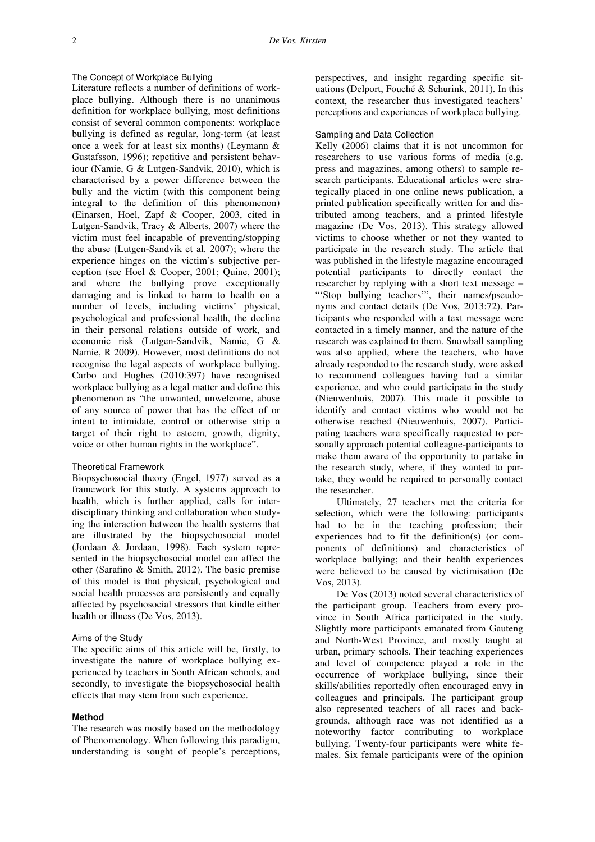## The Concept of Workplace Bullying

Literature reflects a number of definitions of workplace bullying. Although there is no unanimous definition for workplace bullying, most definitions consist of several common components: workplace bullying is defined as regular, long-term (at least once a week for at least six months) (Leymann & Gustafsson, 1996); repetitive and persistent behaviour (Namie, G & Lutgen-Sandvik, 2010), which is characterised by a power difference between the bully and the victim (with this component being integral to the definition of this phenomenon) (Einarsen, Hoel, Zapf & Cooper, 2003, cited in Lutgen-Sandvik, Tracy & Alberts, 2007) where the victim must feel incapable of preventing/stopping the abuse (Lutgen-Sandvik et al. 2007); where the experience hinges on the victim's subjective perception (see Hoel & Cooper, 2001; Quine, 2001); and where the bullying prove exceptionally damaging and is linked to harm to health on a number of levels, including victims' physical, psychological and professional health, the decline in their personal relations outside of work, and economic risk (Lutgen-Sandvik, Namie, G & Namie, R 2009). However, most definitions do not recognise the legal aspects of workplace bullying. Carbo and Hughes (2010:397) have recognised workplace bullying as a legal matter and define this phenomenon as "the unwanted, unwelcome, abuse of any source of power that has the effect of or intent to intimidate, control or otherwise strip a target of their right to esteem, growth, dignity, voice or other human rights in the workplace".

## Theoretical Framework

Biopsychosocial theory (Engel, 1977) served as a framework for this study. A systems approach to health, which is further applied, calls for interdisciplinary thinking and collaboration when studying the interaction between the health systems that are illustrated by the biopsychosocial model (Jordaan & Jordaan, 1998). Each system represented in the biopsychosocial model can affect the other (Sarafino & Smith, 2012). The basic premise of this model is that physical, psychological and social health processes are persistently and equally affected by psychosocial stressors that kindle either health or illness (De Vos, 2013).

## Aims of the Study

The specific aims of this article will be, firstly, to investigate the nature of workplace bullying experienced by teachers in South African schools, and secondly, to investigate the biopsychosocial health effects that may stem from such experience.

### **Method**

The research was mostly based on the methodology of Phenomenology. When following this paradigm, understanding is sought of people's perceptions, perspectives, and insight regarding specific situations (Delport, Fouché & Schurink, 2011). In this context, the researcher thus investigated teachers' perceptions and experiences of workplace bullying.

### Sampling and Data Collection

Kelly (2006) claims that it is not uncommon for researchers to use various forms of media (e.g. press and magazines, among others) to sample research participants. Educational articles were strategically placed in one online news publication, a printed publication specifically written for and distributed among teachers, and a printed lifestyle magazine (De Vos, 2013). This strategy allowed victims to choose whether or not they wanted to participate in the research study. The article that was published in the lifestyle magazine encouraged potential participants to directly contact the researcher by replying with a short text message – "'Stop bullying teachers"', their names/pseudonyms and contact details (De Vos, 2013:72). Participants who responded with a text message were contacted in a timely manner, and the nature of the research was explained to them. Snowball sampling was also applied, where the teachers, who have already responded to the research study, were asked to recommend colleagues having had a similar experience, and who could participate in the study (Nieuwenhuis, 2007). This made it possible to identify and contact victims who would not be otherwise reached (Nieuwenhuis, 2007). Participating teachers were specifically requested to personally approach potential colleague-participants to make them aware of the opportunity to partake in the research study, where, if they wanted to partake, they would be required to personally contact the researcher.

Ultimately, 27 teachers met the criteria for selection, which were the following: participants had to be in the teaching profession; their experiences had to fit the definition(s) (or components of definitions) and characteristics of workplace bullying; and their health experiences were believed to be caused by victimisation (De Vos, 2013).

De Vos (2013) noted several characteristics of the participant group. Teachers from every province in South Africa participated in the study. Slightly more participants emanated from Gauteng and North-West Province, and mostly taught at urban, primary schools. Their teaching experiences and level of competence played a role in the occurrence of workplace bullying, since their skills/abilities reportedly often encouraged envy in colleagues and principals. The participant group also represented teachers of all races and backgrounds, although race was not identified as a noteworthy factor contributing to workplace bullying. Twenty-four participants were white females. Six female participants were of the opinion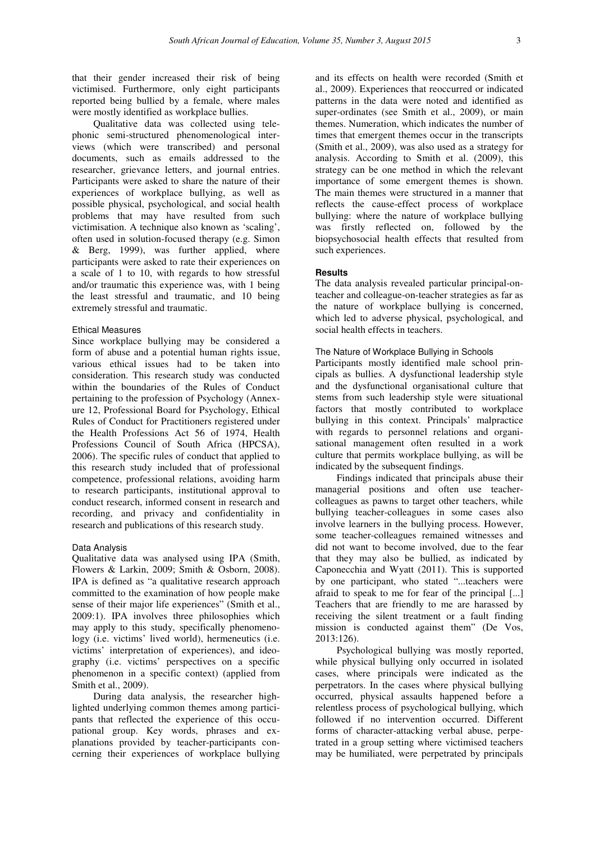that their gender increased their risk of being victimised. Furthermore, only eight participants reported being bullied by a female, where males were mostly identified as workplace bullies.

Qualitative data was collected using telephonic semi-structured phenomenological interviews (which were transcribed) and personal documents, such as emails addressed to the researcher, grievance letters, and journal entries. Participants were asked to share the nature of their experiences of workplace bullying, as well as possible physical, psychological, and social health problems that may have resulted from such victimisation. A technique also known as 'scaling', often used in solution-focused therapy (e.g. Simon  $&$  Berg, 1999), was further applied, where participants were asked to rate their experiences on a scale of 1 to 10, with regards to how stressful and/or traumatic this experience was, with 1 being the least stressful and traumatic, and 10 being extremely stressful and traumatic.

### Ethical Measures

Since workplace bullying may be considered a form of abuse and a potential human rights issue, various ethical issues had to be taken into consideration. This research study was conducted within the boundaries of the Rules of Conduct pertaining to the profession of Psychology (Annexure 12, Professional Board for Psychology, Ethical Rules of Conduct for Practitioners registered under the Health Professions Act 56 of 1974, Health Professions Council of South Africa (HPCSA), 2006). The specific rules of conduct that applied to this research study included that of professional competence, professional relations, avoiding harm to research participants, institutional approval to conduct research, informed consent in research and recording, and privacy and confidentiality in research and publications of this research study.

## Data Analysis

Qualitative data was analysed using IPA (Smith, Flowers & Larkin, 2009; Smith & Osborn, 2008). IPA is defined as "a qualitative research approach committed to the examination of how people make sense of their major life experiences" (Smith et al., 2009:1). IPA involves three philosophies which may apply to this study, specifically phenomenology (i.e. victims' lived world), hermeneutics (i.e. victims' interpretation of experiences), and ideography (i.e. victims' perspectives on a specific phenomenon in a specific context) (applied from Smith et al., 2009).

During data analysis, the researcher highlighted underlying common themes among participants that reflected the experience of this occupational group. Key words, phrases and explanations provided by teacher-participants concerning their experiences of workplace bullying

and its effects on health were recorded (Smith et al., 2009). Experiences that reoccurred or indicated patterns in the data were noted and identified as super-ordinates (see Smith et al., 2009), or main themes. Numeration, which indicates the number of times that emergent themes occur in the transcripts (Smith et al., 2009), was also used as a strategy for analysis. According to Smith et al. (2009), this strategy can be one method in which the relevant importance of some emergent themes is shown. The main themes were structured in a manner that reflects the cause-effect process of workplace bullying: where the nature of workplace bullying was firstly reflected on, followed by the biopsychosocial health effects that resulted from such experiences.

## **Results**

The data analysis revealed particular principal-onteacher and colleague-on-teacher strategies as far as the nature of workplace bullying is concerned, which led to adverse physical, psychological, and social health effects in teachers.

## The Nature of Workplace Bullying in Schools

Participants mostly identified male school principals as bullies. A dysfunctional leadership style and the dysfunctional organisational culture that stems from such leadership style were situational factors that mostly contributed to workplace bullying in this context. Principals' malpractice with regards to personnel relations and organisational management often resulted in a work culture that permits workplace bullying, as will be indicated by the subsequent findings.

Findings indicated that principals abuse their managerial positions and often use teachercolleagues as pawns to target other teachers, while bullying teacher-colleagues in some cases also involve learners in the bullying process. However, some teacher-colleagues remained witnesses and did not want to become involved, due to the fear that they may also be bullied, as indicated by Caponecchia and Wyatt (2011). This is supported by one participant, who stated "...teachers were afraid to speak to me for fear of the principal [...] Teachers that are friendly to me are harassed by receiving the silent treatment or a fault finding mission is conducted against them" (De Vos, 2013:126).

Psychological bullying was mostly reported, while physical bullying only occurred in isolated cases, where principals were indicated as the perpetrators. In the cases where physical bullying occurred, physical assaults happened before a relentless process of psychological bullying, which followed if no intervention occurred. Different forms of character-attacking verbal abuse, perpetrated in a group setting where victimised teachers may be humiliated, were perpetrated by principals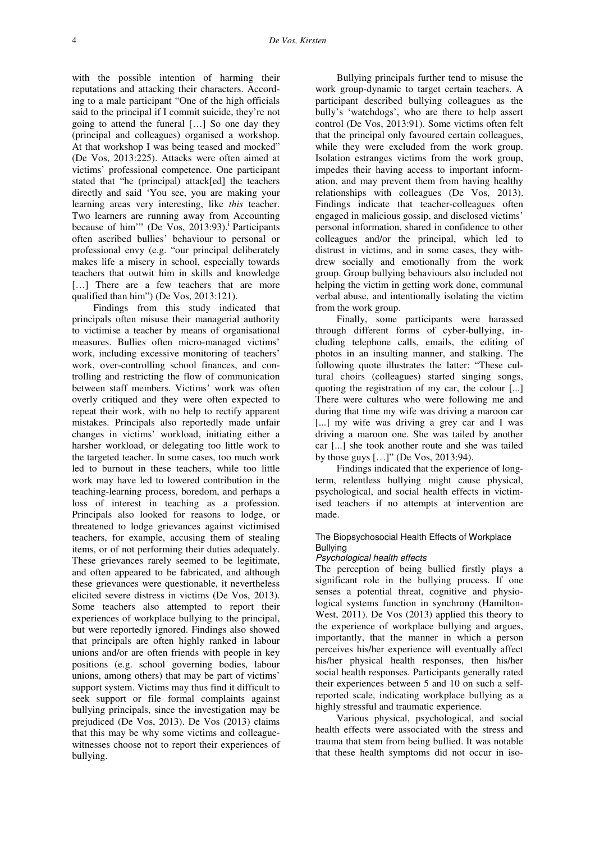with the possible intention of harming their reputations and attacking their characters. According to a male participant "One of the high officials said to the principal if I commit suicide, they're not going to attend the funeral […] So one day they (principal and colleagues) organised a workshop. At that workshop I was being teased and mocked" (De Vos, 2013:225). Attacks were often aimed at victims' professional competence. One participant stated that "he (principal) attack[ed] the teachers directly and said 'You see, you are making your learning areas very interesting, like *this* teacher. Two learners are running away from Accounting because of him'" (De Vos,  $2013:93$ ).<sup>i</sup> Participants often ascribed bullies' behaviour to personal or professional envy (e.g. "our principal deliberately makes life a misery in school, especially towards teachers that outwit him in skills and knowledge [...] There are a few teachers that are more qualified than him") (De Vos, 2013:121).

Findings from this study indicated that principals often misuse their managerial authority to victimise a teacher by means of organisational measures. Bullies often micro-managed victims' work, including excessive monitoring of teachers' work, over-controlling school finances, and controlling and restricting the flow of communication between staff members. Victims' work was often overly critiqued and they were often expected to repeat their work, with no help to rectify apparent mistakes. Principals also reportedly made unfair changes in victims' workload, initiating either a harsher workload, or delegating too little work to the targeted teacher. In some cases, too much work led to burnout in these teachers, while too little work may have led to lowered contribution in the teaching-learning process, boredom, and perhaps a loss of interest in teaching as a profession. Principals also looked for reasons to lodge, or threatened to lodge grievances against victimised teachers, for example, accusing them of stealing items, or of not performing their duties adequately. These grievances rarely seemed to be legitimate, and often appeared to be fabricated, and although these grievances were questionable, it nevertheless elicited severe distress in victims (De Vos, 2013). Some teachers also attempted to report their experiences of workplace bullying to the principal, but were reportedly ignored. Findings also showed that principals are often highly ranked in labour unions and/or are often friends with people in key positions (e.g. school governing bodies, labour unions, among others) that may be part of victims' support system. Victims may thus find it difficult to seek support or file formal complaints against bullying principals, since the investigation may be prejudiced (De Vos, 2013). De Vos (2013) claims that this may be why some victims and colleaguewitnesses choose not to report their experiences of bullying.

Bullying principals further tend to misuse the work group-dynamic to target certain teachers. A participant described bullying colleagues as the bully's 'watchdogs', who are there to help assert control (De Vos, 2013:91). Some victims often felt that the principal only favoured certain colleagues, while they were excluded from the work group. Isolation estranges victims from the work group, impedes their having access to important information, and may prevent them from having healthy relationships with colleagues (De Vos, 2013). Findings indicate that teacher-colleagues often engaged in malicious gossip, and disclosed victims' personal information, shared in confidence to other colleagues and/or the principal, which led to distrust in victims, and in some cases, they withdrew socially and emotionally from the work group. Group bullying behaviours also included not helping the victim in getting work done, communal verbal abuse, and intentionally isolating the victim from the work group.

Finally, some participants were harassed through different forms of cyber-bullying, including telephone calls, emails, the editing of photos in an insulting manner, and stalking. The following quote illustrates the latter: "These cultural choirs (colleagues) started singing songs, quoting the registration of my car, the colour [...] There were cultures who were following me and during that time my wife was driving a maroon car [...] my wife was driving a grey car and I was driving a maroon one. She was tailed by another car [...] she took another route and she was tailed by those guys […]" (De Vos, 2013:94).

Findings indicated that the experience of longterm, relentless bullying might cause physical, psychological, and social health effects in victimised teachers if no attempts at intervention are made.

## The Biopsychosocial Health Effects of Workplace **Bullving**

#### Psychological health effects

The perception of being bullied firstly plays a significant role in the bullying process. If one senses a potential threat, cognitive and physiological systems function in synchrony (Hamilton-West, 2011). De Vos (2013) applied this theory to the experience of workplace bullying and argues, importantly, that the manner in which a person perceives his/her experience will eventually affect his/her physical health responses, then his/her social health responses. Participants generally rated their experiences between 5 and 10 on such a selfreported scale, indicating workplace bullying as a highly stressful and traumatic experience.

Various physical, psychological, and social health effects were associated with the stress and trauma that stem from being bullied. It was notable that these health symptoms did not occur in iso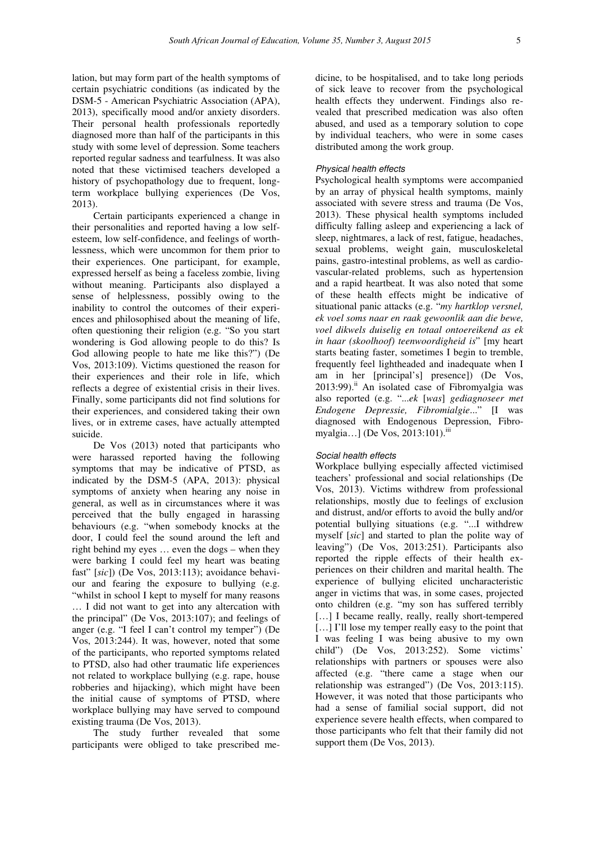lation, but may form part of the health symptoms of certain psychiatric conditions (as indicated by the DSM-5 - American Psychiatric Association (APA), 2013), specifically mood and/or anxiety disorders. Their personal health professionals reportedly diagnosed more than half of the participants in this study with some level of depression. Some teachers reported regular sadness and tearfulness. It was also noted that these victimised teachers developed a history of psychopathology due to frequent, longterm workplace bullying experiences (De Vos, 2013).

Certain participants experienced a change in their personalities and reported having a low selfesteem, low self-confidence, and feelings of worthlessness, which were uncommon for them prior to their experiences. One participant, for example, expressed herself as being a faceless zombie, living without meaning. Participants also displayed a sense of helplessness, possibly owing to the inability to control the outcomes of their experiences and philosophised about the meaning of life, often questioning their religion (e.g. "So you start wondering is God allowing people to do this? Is God allowing people to hate me like this?") (De Vos, 2013:109). Victims questioned the reason for their experiences and their role in life, which reflects a degree of existential crisis in their lives. Finally, some participants did not find solutions for their experiences, and considered taking their own lives, or in extreme cases, have actually attempted suicide.

De Vos (2013) noted that participants who were harassed reported having the following symptoms that may be indicative of PTSD, as indicated by the DSM-5 (APA, 2013): physical symptoms of anxiety when hearing any noise in general, as well as in circumstances where it was perceived that the bully engaged in harassing behaviours (e.g. "when somebody knocks at the door, I could feel the sound around the left and right behind my eyes … even the dogs – when they were barking I could feel my heart was beating fast" [*sic*]) (De Vos, 2013:113); avoidance behaviour and fearing the exposure to bullying (e.g. "whilst in school I kept to myself for many reasons … I did not want to get into any altercation with the principal" (De Vos, 2013:107); and feelings of anger (e.g. "I feel I can't control my temper") (De Vos, 2013:244). It was, however, noted that some of the participants, who reported symptoms related to PTSD, also had other traumatic life experiences not related to workplace bullying (e.g. rape, house robberies and hijacking), which might have been the initial cause of symptoms of PTSD, where workplace bullying may have served to compound existing trauma (De Vos, 2013).

The study further revealed that some participants were obliged to take prescribed me-

dicine, to be hospitalised, and to take long periods of sick leave to recover from the psychological health effects they underwent. Findings also revealed that prescribed medication was also often abused, and used as a temporary solution to cope by individual teachers, who were in some cases distributed among the work group.

## Physical health effects

Psychological health symptoms were accompanied by an array of physical health symptoms, mainly associated with severe stress and trauma (De Vos, 2013). These physical health symptoms included difficulty falling asleep and experiencing a lack of sleep, nightmares, a lack of rest, fatigue, headaches, sexual problems, weight gain, musculoskeletal pains, gastro-intestinal problems, as well as cardiovascular-related problems, such as hypertension and a rapid heartbeat. It was also noted that some of these health effects might be indicative of situational panic attacks (e.g. "*my hartklop versnel, ek voel soms naar en raak gewoonlik aan die bewe, voel dikwels duiselig en totaal ontoereikend as ek in haar (skoolhoof) teenwoordigheid is*" [my heart starts beating faster, sometimes I begin to tremble, frequently feel lightheaded and inadequate when I am in her [principal's] presence]) (De Vos,  $2013:99$ .<sup>ii</sup> An isolated case of Fibromyalgia was also reported (e.g. "...*ek* [*was*] *gediagnoseer met Endogene Depressie, Fibromialgie*..." [I was diagnosed with Endogenous Depression, Fibromyalgia...] (De Vos, 2013:101).<sup>ii</sup>

## Social health effects

Workplace bullying especially affected victimised teachers' professional and social relationships (De Vos, 2013). Victims withdrew from professional relationships, mostly due to feelings of exclusion and distrust, and/or efforts to avoid the bully and/or potential bullying situations (e.g. "...I withdrew myself [*sic*] and started to plan the polite way of leaving") (De Vos, 2013:251). Participants also reported the ripple effects of their health experiences on their children and marital health. The experience of bullying elicited uncharacteristic anger in victims that was, in some cases, projected onto children (e.g. "my son has suffered terribly [...] I became really, really, really short-tempered [...] I'll lose my temper really easy to the point that I was feeling I was being abusive to my own child") (De Vos, 2013:252). Some victims' relationships with partners or spouses were also affected (e.g. "there came a stage when our relationship was estranged") (De Vos, 2013:115). However, it was noted that those participants who had a sense of familial social support, did not experience severe health effects, when compared to those participants who felt that their family did not support them (De Vos, 2013).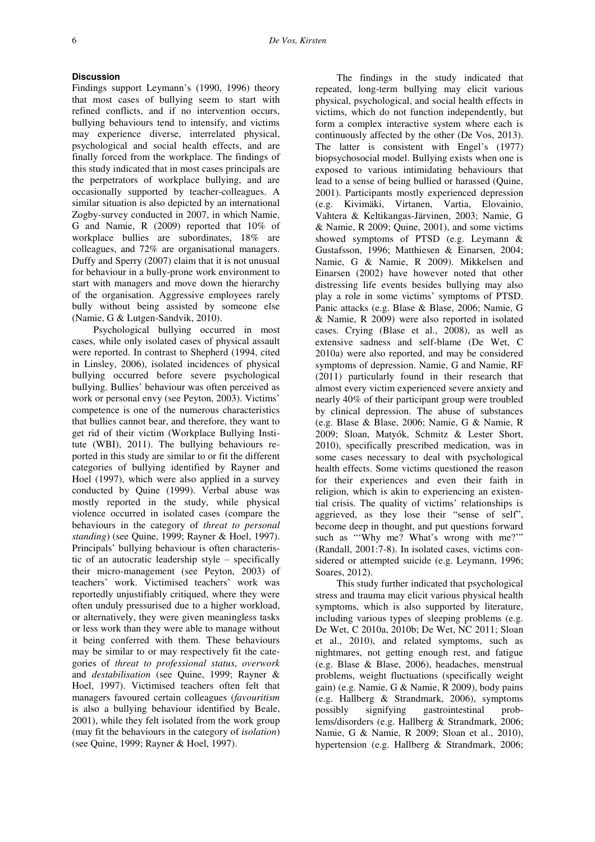### **Discussion**

Findings support Leymann's (1990, 1996) theory that most cases of bullying seem to start with refined conflicts, and if no intervention occurs, bullying behaviours tend to intensify, and victims may experience diverse, interrelated physical, psychological and social health effects, and are finally forced from the workplace. The findings of this study indicated that in most cases principals are the perpetrators of workplace bullying, and are occasionally supported by teacher-colleagues. A similar situation is also depicted by an international Zogby-survey conducted in 2007, in which Namie, G and Namie, R (2009) reported that 10% of workplace bullies are subordinates, 18% are colleagues, and 72% are organisational managers. Duffy and Sperry (2007) claim that it is not unusual for behaviour in a bully-prone work environment to start with managers and move down the hierarchy of the organisation. Aggressive employees rarely bully without being assisted by someone else (Namie, G & Lutgen-Sandvik, 2010).

Psychological bullying occurred in most cases, while only isolated cases of physical assault were reported. In contrast to Shepherd (1994, cited in Linsley, 2006), isolated incidences of physical bullying occurred before severe psychological bullying. Bullies' behaviour was often perceived as work or personal envy (see Peyton, 2003). Victims' competence is one of the numerous characteristics that bullies cannot bear, and therefore, they want to get rid of their victim (Workplace Bullying Institute (WBI), 2011). The bullying behaviours reported in this study are similar to or fit the different categories of bullying identified by Rayner and Hoel (1997), which were also applied in a survey conducted by Quine (1999). Verbal abuse was mostly reported in the study, while physical violence occurred in isolated cases (compare the behaviours in the category of *threat to personal standing*) (see Quine, 1999; Rayner & Hoel, 1997). Principals' bullying behaviour is often characteristic of an autocratic leadership style – specifically their micro-management (see Peyton, 2003) of teachers' work. Victimised teachers' work was reportedly unjustifiably critiqued, where they were often unduly pressurised due to a higher workload, or alternatively, they were given meaningless tasks or less work than they were able to manage without it being conferred with them. These behaviours may be similar to or may respectively fit the categories of *threat to professional status*, *overwork* and *destabilisation* (see Quine, 1999; Rayner & Hoel, 1997). Victimised teachers often felt that managers favoured certain colleagues (*favouritism* is also a bullying behaviour identified by Beale, 2001), while they felt isolated from the work group (may fit the behaviours in the category of *isolation*) (see Quine, 1999; Rayner & Hoel, 1997).

The findings in the study indicated that repeated, long-term bullying may elicit various physical, psychological, and social health effects in victims, which do not function independently, but form a complex interactive system where each is continuously affected by the other (De Vos, 2013). The latter is consistent with Engel's (1977) biopsychosocial model. Bullying exists when one is exposed to various intimidating behaviours that lead to a sense of being bullied or harassed (Quine, 2001). Participants mostly experienced depression (e.g. Kivimäki, Virtanen, Vartia, Elovainio, Vahtera & Keltikangas-Järvinen, 2003; Namie, G & Namie, R 2009; Quine, 2001), and some victims showed symptoms of PTSD (e.g. Leymann & Gustafsson, 1996; Matthiesen & Einarsen, 2004; Namie, G & Namie, R 2009). Mikkelsen and Einarsen (2002) have however noted that other distressing life events besides bullying may also play a role in some victims' symptoms of PTSD. Panic attacks (e.g. Blase & Blase, 2006; Namie, G & Namie, R 2009) were also reported in isolated cases. Crying (Blase et al., 2008), as well as extensive sadness and self-blame (De Wet, C 2010a) were also reported, and may be considered symptoms of depression. Namie, G and Namie, RF (2011) particularly found in their research that almost every victim experienced severe anxiety and nearly 40% of their participant group were troubled by clinical depression. The abuse of substances (e.g. Blase & Blase, 2006; Namie, G & Namie, R 2009; Sloan, Matyók, Schmitz & Lester Short, 2010), specifically prescribed medication, was in some cases necessary to deal with psychological health effects. Some victims questioned the reason for their experiences and even their faith in religion, which is akin to experiencing an existential crisis. The quality of victims' relationships is aggrieved, as they lose their "sense of self", become deep in thought, and put questions forward such as "'Why me? What's wrong with me?'" (Randall, 2001:7-8). In isolated cases, victims considered or attempted suicide (e.g. Leymann, 1996; Soares, 2012).

This study further indicated that psychological stress and trauma may elicit various physical health symptoms, which is also supported by literature, including various types of sleeping problems (e.g. De Wet, C 2010a, 2010b; De Wet, NC 2011; Sloan et al., 2010), and related symptoms, such as nightmares, not getting enough rest, and fatigue (e.g. Blase & Blase, 2006), headaches, menstrual problems, weight fluctuations (specifically weight gain) (e.g. Namie, G & Namie, R 2009), body pains (e.g. Hallberg & Strandmark, 2006), symptoms possibly signifying gastrointestinal problems/disorders (e.g. Hallberg & Strandmark, 2006; Namie, G & Namie, R 2009; Sloan et al., 2010), hypertension (e.g. Hallberg & Strandmark, 2006;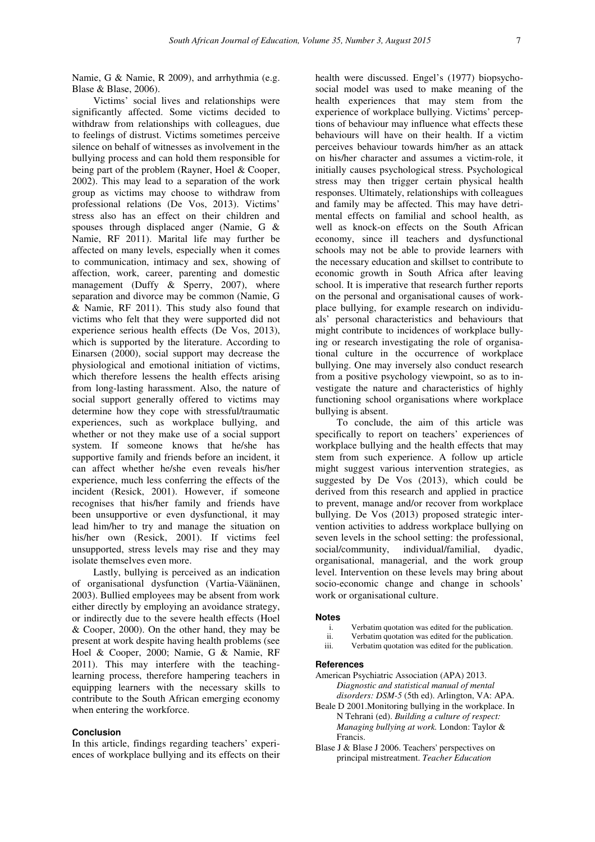Namie, G & Namie, R 2009), and arrhythmia (e.g. Blase & Blase, 2006).

Victims' social lives and relationships were significantly affected. Some victims decided to withdraw from relationships with colleagues, due to feelings of distrust. Victims sometimes perceive silence on behalf of witnesses as involvement in the bullying process and can hold them responsible for being part of the problem (Rayner, Hoel & Cooper, 2002). This may lead to a separation of the work group as victims may choose to withdraw from professional relations (De Vos, 2013). Victims' stress also has an effect on their children and spouses through displaced anger (Namie, G & Namie, RF 2011). Marital life may further be affected on many levels, especially when it comes to communication, intimacy and sex, showing of affection, work, career, parenting and domestic management (Duffy & Sperry, 2007), where separation and divorce may be common (Namie, G & Namie, RF 2011). This study also found that victims who felt that they were supported did not experience serious health effects (De Vos, 2013), which is supported by the literature. According to Einarsen (2000), social support may decrease the physiological and emotional initiation of victims, which therefore lessens the health effects arising from long-lasting harassment. Also, the nature of social support generally offered to victims may determine how they cope with stressful/traumatic experiences, such as workplace bullying, and whether or not they make use of a social support system. If someone knows that he/she has supportive family and friends before an incident, it can affect whether he/she even reveals his/her experience, much less conferring the effects of the incident (Resick, 2001). However, if someone recognises that his/her family and friends have been unsupportive or even dysfunctional, it may lead him/her to try and manage the situation on his/her own (Resick, 2001). If victims feel unsupported, stress levels may rise and they may isolate themselves even more.

Lastly, bullying is perceived as an indication of organisational dysfunction (Vartia-Väänänen, 2003). Bullied employees may be absent from work either directly by employing an avoidance strategy, or indirectly due to the severe health effects (Hoel & Cooper, 2000). On the other hand, they may be present at work despite having health problems (see Hoel & Cooper, 2000; Namie, G & Namie, RF 2011). This may interfere with the teachinglearning process, therefore hampering teachers in equipping learners with the necessary skills to contribute to the South African emerging economy when entering the workforce.

## **Conclusion**

In this article, findings regarding teachers' experiences of workplace bullying and its effects on their

health were discussed. Engel's (1977) biopsychosocial model was used to make meaning of the health experiences that may stem from the experience of workplace bullying. Victims' perceptions of behaviour may influence what effects these behaviours will have on their health. If a victim perceives behaviour towards him/her as an attack on his/her character and assumes a victim-role, it initially causes psychological stress. Psychological stress may then trigger certain physical health responses. Ultimately, relationships with colleagues and family may be affected. This may have detrimental effects on familial and school health, as well as knock-on effects on the South African economy, since ill teachers and dysfunctional schools may not be able to provide learners with the necessary education and skillset to contribute to economic growth in South Africa after leaving school. It is imperative that research further reports on the personal and organisational causes of workplace bullying, for example research on individuals' personal characteristics and behaviours that might contribute to incidences of workplace bullying or research investigating the role of organisational culture in the occurrence of workplace bullying. One may inversely also conduct research from a positive psychology viewpoint, so as to investigate the nature and characteristics of highly functioning school organisations where workplace bullying is absent.

To conclude, the aim of this article was specifically to report on teachers' experiences of workplace bullying and the health effects that may stem from such experience. A follow up article might suggest various intervention strategies, as suggested by De Vos (2013), which could be derived from this research and applied in practice to prevent, manage and/or recover from workplace bullying. De Vos (2013) proposed strategic intervention activities to address workplace bullying on seven levels in the school setting: the professional, social/community, individual/familial, dyadic, organisational, managerial, and the work group level. Intervention on these levels may bring about socio-economic change and change in schools' work or organisational culture.

### **Notes**

- i. Verbatim quotation was edited for the publication.
- ii. Verbatim quotation was edited for the publication.<br>iii. Verbatim quotation was edited for the publication.
- Verbatim quotation was edited for the publication.

## **References**

- American Psychiatric Association (APA) 2013. *Diagnostic and statistical manual of mental disorders: DSM-5* (5th ed). Arlington, VA: APA.
- Beale D 2001.Monitoring bullying in the workplace. In N Tehrani (ed). *Building a culture of respect: Managing bullying at work.* London: Taylor & Francis.
- Blase J & Blase J 2006. Teachers' perspectives on principal mistreatment. *Teacher Education*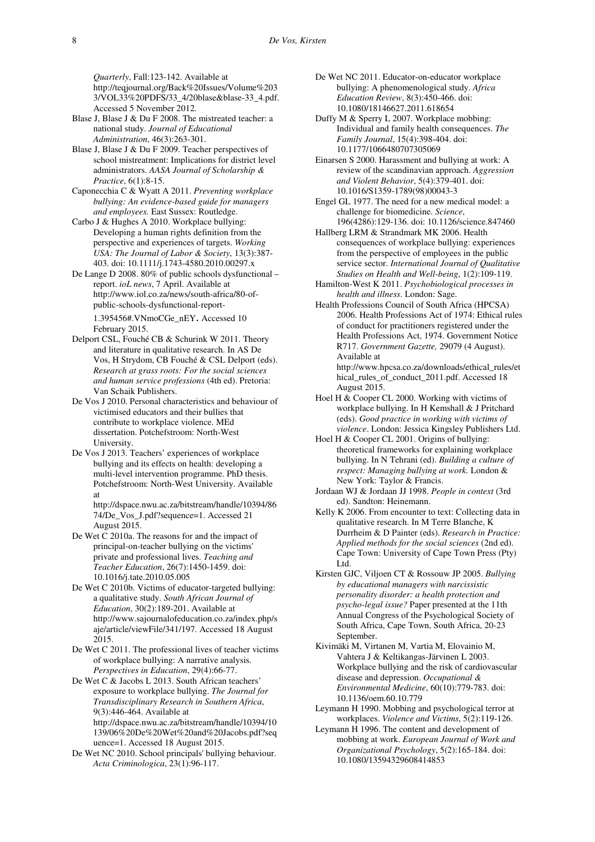*Quarterly*, Fall:123-142. Available at http://teqjournal.org/Back%20Issues/Volume%203 3/VOL33%20PDFS/33\_4/20blase&blase-33\_4.pdf. Accessed 5 November 2012.

- Blase J, Blase J & Du F 2008. The mistreated teacher: a national study. *Journal of Educational Administration*, 46(3):263-301.
- Blase J, Blase J & Du F 2009. Teacher perspectives of school mistreatment: Implications for district level administrators. *AASA Journal of Scholarship & Practice*, 6(1):8-15.
- Caponecchia C & Wyatt A 2011. *Preventing workplace bullying: An evidence-based guide for managers and employees.* East Sussex: Routledge.
- Carbo J & Hughes A 2010. Workplace bullying: Developing a human rights definition from the perspective and experiences of targets. *Working USA: The Journal of Labor & Society*, 13(3):387- 403. doi: 10.1111/j.1743-4580.2010.00297.x
- De Lange D 2008. 80% of public schools dysfunctional report. *ioL news*, 7 April. Available at http://www.iol.co.za/news/south-africa/80-ofpublic-schools-dysfunctional-report-1.395456#.VNmoCGe\_nEY. Accessed 10 February 2015.
- Delport CSL, Fouché CB & Schurink W 2011. Theory and literature in qualitative research. In AS De Vos, H Strydom, CB Fouché & CSL Delport (eds). *Research at grass roots: For the social sciences and human service professions* (4th ed). Pretoria: Van Schaik Publishers.
- De Vos J 2010. Personal characteristics and behaviour of victimised educators and their bullies that contribute to workplace violence. MEd dissertation. Potchefstroom: North-West University.
- De Vos J 2013. Teachers' experiences of workplace bullying and its effects on health: developing a multi-level intervention programme. PhD thesis. Potchefstroom: North-West University. Available at
	- http://dspace.nwu.ac.za/bitstream/handle/10394/86 74/De\_Vos\_J.pdf?sequence=1. Accessed 21 August 2015.
- De Wet C 2010a. The reasons for and the impact of principal-on-teacher bullying on the victims' private and professional lives. *Teaching and Teacher Education*, 26(7):1450-1459. doi: 10.1016/j.tate.2010.05.005
- De Wet C 2010b. Victims of educator-targeted bullying: a qualitative study. *South African Journal of Education*, 30(2):189-201. Available at http://www.sajournalofeducation.co.za/index.php/s aje/article/viewFile/341/197. Accessed 18 August 2015.
- De Wet C 2011. The professional lives of teacher victims of workplace bullying: A narrative analysis. *Perspectives in Education*, 29(4):66-77.
- De Wet C & Jacobs L 2013. South African teachers' exposure to workplace bullying. *The Journal for Transdisciplinary Research in Southern Africa*, 9(3):446-464. Available at http://dspace.nwu.ac.za/bitstream/handle/10394/10 139/06%20De%20Wet%20and%20Jacobs.pdf?seq

uence=1. Accessed 18 August 2015.

De Wet NC 2010. School principals' bullying behaviour. *Acta Criminologica*, 23(1):96-117.

- De Wet NC 2011. Educator-on-educator workplace bullying: A phenomenological study. *Africa Education Review*, 8(3):450-466. doi: 10.1080/18146627.2011.618654
- Duffy M & Sperry L 2007. Workplace mobbing: Individual and family health consequences. *The Family Journal*, 15(4):398-404. doi: 10.1177/1066480707305069
- Einarsen S 2000. Harassment and bullying at work: A review of the scandinavian approach. *Aggression and Violent Behavior*, 5(4):379-401. doi: 10.1016/S1359-1789(98)00043-3
- Engel GL 1977. The need for a new medical model: a challenge for biomedicine. *Science*, 196(4286):129-136. doi: 10.1126/science.847460
- Hallberg LRM & Strandmark MK 2006. Health consequences of workplace bullying: experiences from the perspective of employees in the public service sector. *International Journal of Qualitative Studies on Health and Well-being*, 1(2):109-119.
- Hamilton-West K 2011. *Psychobiological processes in health and illness*. London: Sage.
- Health Professions Council of South Africa (HPCSA) 2006. Health Professions Act of 1974: Ethical rules of conduct for practitioners registered under the Health Professions Act, 1974. Government Notice R717. *Government Gazette,* 29079 (4 August). Available at http://www.hpcsa.co.za/downloads/ethical\_rules/et
	- hical\_rules\_of\_conduct\_2011.pdf. Accessed 18 August 2015.
- Hoel H & Cooper CL 2000. Working with victims of workplace bullying. In H Kemshall & J Pritchard (eds). *Good practice in working with victims of violence*. London: Jessica Kingsley Publishers Ltd.
- Hoel H & Cooper CL 2001. Origins of bullying: theoretical frameworks for explaining workplace bullying. In N Tehrani (ed). *Building a culture of respect: Managing bullying at work.* London & New York: Taylor & Francis.
- Jordaan WJ & Jordaan JJ 1998. *People in context* (3rd ed). Sandton: Heinemann.
- Kelly K 2006. From encounter to text: Collecting data in qualitative research. In M Terre Blanche, K Durrheim & D Painter (eds). *Research in Practice: Applied methods for the social sciences* (2nd ed). Cape Town: University of Cape Town Press (Pty) Ltd.
- Kirsten GJC, Viljoen CT & Rossouw JP 2005. *Bullying by educational managers with narcissistic personality disorder: a health protection and psycho-legal issue?* Paper presented at the 11th Annual Congress of the Psychological Society of South Africa, Cape Town, South Africa, 20-23 September.
- Kivimäki M, Virtanen M, Vartia M, Elovainio M, Vahtera J & Keltikangas-Järvinen L 2003. Workplace bullying and the risk of cardiovascular disease and depression. *Occupational & Environmental Medicine*, 60(10):779-783. doi: 10.1136/oem.60.10.779
- Leymann H 1990. Mobbing and psychological terror at workplaces. *Violence and Victims*, 5(2):119-126.
- Leymann H 1996. The content and development of mobbing at work. *European Journal of Work and Organizational Psychology*, 5(2):165-184. doi: 10.1080/13594329608414853